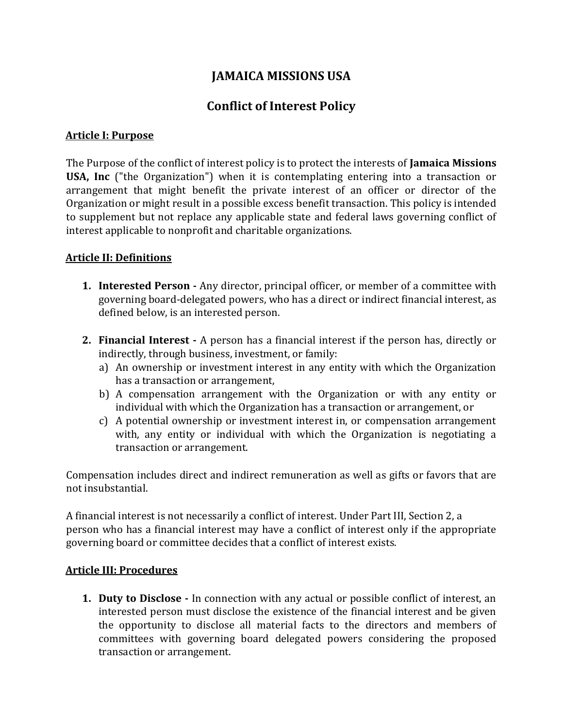# **JAMAICA MISSIONS USA**

# **Conflict of Interest Policy**

#### **Article I: Purpose**

The Purpose of the conflict of interest policy is to protect the interests of **Jamaica Missions USA, Inc** ("the Organization") when it is contemplating entering into a transaction or arrangement that might benefit the private interest of an officer or director of the Organization or might result in a possible excess benefit transaction. This policy is intended to supplement but not replace any applicable state and federal laws governing conflict of interest applicable to nonprofit and charitable organizations.

### **Article II: Definitions**

- **1. Interested Person -** Any director, principal officer, or member of a committee with governing board-delegated powers, who has a direct or indirect financial interest, as defined below, is an interested person.
- **2. Financial Interest -** A person has a financial interest if the person has, directly or indirectly, through business, investment, or family:
	- a) An ownership or investment interest in any entity with which the Organization has a transaction or arrangement,
	- b) A compensation arrangement with the Organization or with any entity or individual with which the Organization has a transaction or arrangement, or
	- c) A potential ownership or investment interest in, or compensation arrangement with, any entity or individual with which the Organization is negotiating a transaction or arrangement.

Compensation includes direct and indirect remuneration as well as gifts or favors that are not insubstantial.

A financial interest is not necessarily a conflict of interest. Under Part III, Section 2, a person who has a financial interest may have a conflict of interest only if the appropriate governing board or committee decides that a conflict of interest exists.

#### **Article III: Procedures**

**1. Duty to Disclose -** In connection with any actual or possible conflict of interest, an interested person must disclose the existence of the financial interest and be given the opportunity to disclose all material facts to the directors and members of committees with governing board delegated powers considering the proposed transaction or arrangement.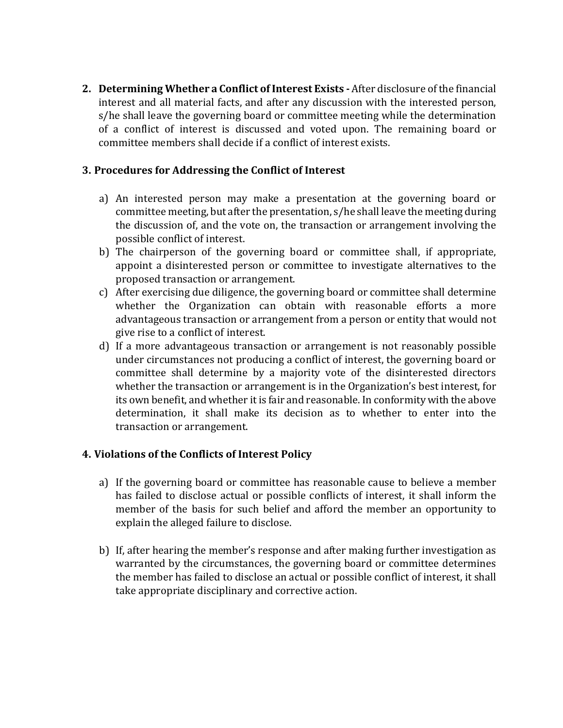**2. Determining Whether a Conflict of Interest Exists -** After disclosure ofthe financial interest and all material facts, and after any discussion with the interested person, s/he shall leave the governing board or committee meeting while the determination of a conflict of interest is discussed and voted upon. The remaining board or committee members shall decide if a conflict of interest exists.

## **3. Procedures for Addressing the Conflict of Interest**

- a) An interested person may make a presentation at the governing board or committee meeting, but after the presentation, s/he shall leave the meeting during the discussion of, and the vote on, the transaction or arrangement involving the possible conflict of interest.
- b) The chairperson of the governing board or committee shall, if appropriate, appoint a disinterested person or committee to investigate alternatives to the proposed transaction or arrangement.
- c) After exercising due diligence, the governing board or committee shall determine whether the Organization can obtain with reasonable efforts a more advantageous transaction or arrangement from a person or entity that would not give rise to a conflict of interest.
- d) If a more advantageous transaction or arrangement is not reasonably possible under circumstances not producing a conflict of interest, the governing board or committee shall determine by a majority vote of the disinterested directors whether the transaction or arrangement is in the Organization's best interest, for its own benefit, and whether it is fair and reasonable. In conformity with the above determination, it shall make its decision as to whether to enter into the transaction or arrangement.

## **4. Violations of the Conflicts of Interest Policy**

- a) If the governing board or committee has reasonable cause to believe a member has failed to disclose actual or possible conflicts of interest, it shall inform the member of the basis for such belief and afford the member an opportunity to explain the alleged failure to disclose.
- b) If, after hearing the member's response and after making further investigation as warranted by the circumstances, the governing board or committee determines the member has failed to disclose an actual or possible conflict of interest, it shall take appropriate disciplinary and corrective action.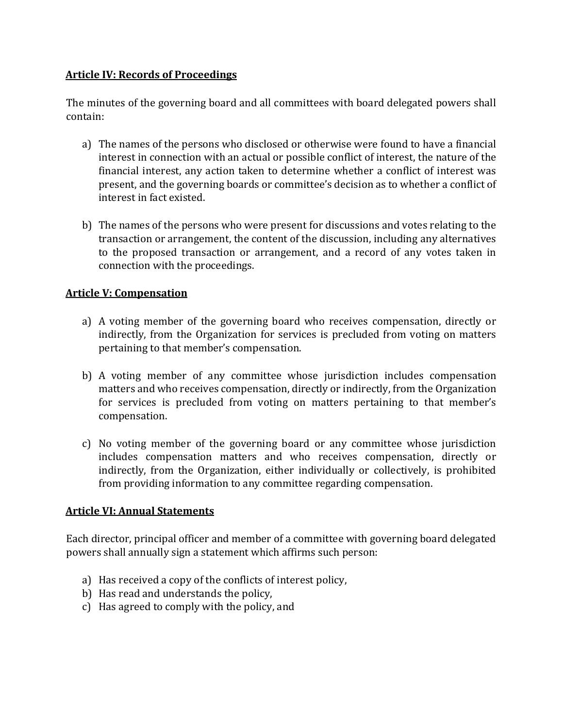### **Article IV: Records of Proceedings**

The minutes of the governing board and all committees with board delegated powers shall contain:

- a) The names of the persons who disclosed or otherwise were found to have a financial interest in connection with an actual or possible conflict of interest, the nature of the financial interest, any action taken to determine whether a conflict of interest was present, and the governing boards or committee's decision as to whether a conflict of interest in fact existed.
- b) The names of the persons who were present for discussions and votes relating to the transaction or arrangement, the content of the discussion, including any alternatives to the proposed transaction or arrangement, and a record of any votes taken in connection with the proceedings.

### **Article V: Compensation**

- a) A voting member of the governing board who receives compensation, directly or indirectly, from the Organization for services is precluded from voting on matters pertaining to that member's compensation.
- b) A voting member of any committee whose jurisdiction includes compensation matters and who receives compensation, directly or indirectly, from the Organization for services is precluded from voting on matters pertaining to that member's compensation.
- c) No voting member of the governing board or any committee whose jurisdiction includes compensation matters and who receives compensation, directly or indirectly, from the Organization, either individually or collectively, is prohibited from providing information to any committee regarding compensation.

#### **Article VI: Annual Statements**

Each director, principal officer and member of a committee with governing board delegated powers shall annually sign a statement which affirms such person:

- a) Has received a copy of the conflicts of interest policy,
- b) Has read and understands the policy,
- c) Has agreed to comply with the policy, and